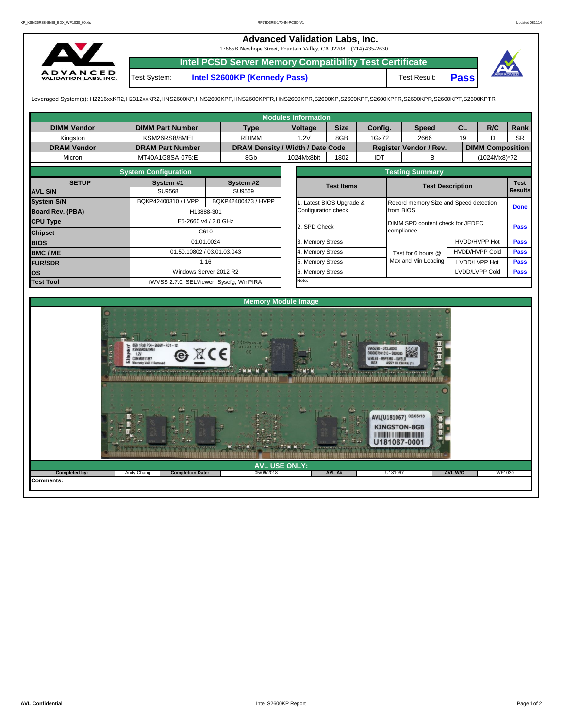## **Advanced Validation Labs, Inc.**

17665B Newhope Street, Fountain Valley, CA 92708 (714) 435-2630



**Intel PCSD Server Memory Compatibility Test Certificate**

Test System: **Intel S2600KP (Kennedy Pass)** Test Result:

U1810

e de la production de la production



**Pass**

Leveraged System(s): H2216xxKR2,H2312xxKR2,HNS2600KP,HNS2600KPF,HNS2600KPFR,HNS2600KPR,S2600KP,S2600KPF,S2600KPFR,S2600KPR,S2600KPT,S2600KPTR

|                         |                                                              |                            |                     | <b>Modules Information</b>       |             |                                        |                                  |                                                                                                                                                                                                                                                                                                          |                         |                |             |  |
|-------------------------|--------------------------------------------------------------|----------------------------|---------------------|----------------------------------|-------------|----------------------------------------|----------------------------------|----------------------------------------------------------------------------------------------------------------------------------------------------------------------------------------------------------------------------------------------------------------------------------------------------------|-------------------------|----------------|-------------|--|
| <b>DIMM Vendor</b>      | <b>DIMM Part Number</b>                                      | <b>Type</b>                |                     | Voltage                          | <b>Size</b> | Config.                                |                                  | <b>Speed</b>                                                                                                                                                                                                                                                                                             | <b>CL</b>               | R/C            | Rank        |  |
| Kingston                | KSM26RS8/8MEI                                                | <b>RDIMM</b>               |                     | 1.2V                             | 8GB         | 1Gx72                                  |                                  | 2666                                                                                                                                                                                                                                                                                                     | 19                      | D              | <b>SR</b>   |  |
| <b>DRAM Vendor</b>      | <b>DRAM Part Number</b>                                      |                            |                     | DRAM Density / Width / Date Code |             |                                        | Register Vendor / Rev.           |                                                                                                                                                                                                                                                                                                          | <b>DIMM Composition</b> |                |             |  |
| Micron                  | MT40A1G8SA-075:E                                             | 8Gb                        |                     |                                  |             | IDT                                    |                                  | <sub>B</sub>                                                                                                                                                                                                                                                                                             |                         | (1024Mx8)*72   |             |  |
|                         | <b>System Configuration</b>                                  |                            |                     |                                  |             |                                        |                                  | <b>Testing Summary</b>                                                                                                                                                                                                                                                                                   |                         |                |             |  |
| <b>SETUP</b>            | System #1                                                    | System #2                  |                     |                                  |             | <b>Test Items</b>                      |                                  |                                                                                                                                                                                                                                                                                                          | <b>Test Description</b> |                | <b>Test</b> |  |
| <b>AVL S/N</b>          | SU9568                                                       | SU9569                     |                     |                                  |             |                                        |                                  | <b>Results</b>                                                                                                                                                                                                                                                                                           |                         |                |             |  |
| <b>System S/N</b>       | BQKP42400310 / LVPP                                          | BQKP42400473 / HVPP        |                     | 1. Latest BIOS Upgrade &         |             |                                        |                                  | Record memory Size and Speed detection                                                                                                                                                                                                                                                                   | <b>Done</b>             |                |             |  |
| <b>Board Rev. (PBA)</b> |                                                              | H13888-301                 | Configuration check |                                  |             | from BIOS                              |                                  |                                                                                                                                                                                                                                                                                                          |                         |                |             |  |
| <b>CPU Type</b>         |                                                              | E5-2660 v4 / 2.0 GHz       |                     | 2. SPD Check                     |             |                                        | DIMM SPD content check for JEDEC | Pass                                                                                                                                                                                                                                                                                                     |                         |                |             |  |
| <b>Chipset</b>          |                                                              | C610                       |                     |                                  |             |                                        | compliance                       |                                                                                                                                                                                                                                                                                                          |                         |                |             |  |
| <b>BIOS</b>             |                                                              | 01.01.0024                 |                     |                                  |             | 3. Memory Stress                       |                                  |                                                                                                                                                                                                                                                                                                          |                         | HVDD/HVPP Hot  | Pass        |  |
| <b>BMC/ME</b>           |                                                              | 01.50.10802 / 03.01.03.043 |                     |                                  |             | 4. Memory Stress<br>Test for 6 hours @ |                                  |                                                                                                                                                                                                                                                                                                          |                         | HVDD/HVPP Cold | <b>Pass</b> |  |
| <b>FUR/SDR</b>          |                                                              | 1.16                       |                     |                                  |             |                                        |                                  | Max and Min Loading                                                                                                                                                                                                                                                                                      | LVDD/LVPP Hot           |                | <b>Pass</b> |  |
| los                     |                                                              | Windows Server 2012 R2     |                     | 6. Memory Stress                 |             |                                        |                                  |                                                                                                                                                                                                                                                                                                          | LVDD/LVPP Cold          | Pass           |             |  |
| <b>Test Tool</b>        | iWVSS 2.7.0, SELViewer, Syscfg, WinPIRA                      |                            | Note:               |                                  |             |                                        |                                  |                                                                                                                                                                                                                                                                                                          |                         |                |             |  |
|                         |                                                              |                            |                     |                                  |             |                                        |                                  |                                                                                                                                                                                                                                                                                                          |                         |                |             |  |
|                         |                                                              |                            |                     | <b>Memory Module Image</b>       |             |                                        |                                  |                                                                                                                                                                                                                                                                                                          |                         |                |             |  |
|                         |                                                              |                            |                     |                                  |             |                                        |                                  |                                                                                                                                                                                                                                                                                                          |                         |                |             |  |
|                         | GB 1Rx8 PC4-2666V-RD1-<br>SM26RS8/8MEI<br>1.2V<br>SMM0911887 | W1734 112                  |                     |                                  |             |                                        |                                  |                                                                                                                                                                                                                                                                                                          |                         |                |             |  |
|                         | Varranty Void If Remove                                      |                            |                     |                                  |             |                                        |                                  |                                                                                                                                                                                                                                                                                                          |                         |                |             |  |
|                         |                                                              |                            |                     |                                  |             |                                        |                                  |                                                                                                                                                                                                                                                                                                          |                         |                |             |  |
|                         |                                                              |                            |                     |                                  |             |                                        |                                  |                                                                                                                                                                                                                                                                                                          |                         |                |             |  |
|                         |                                                              |                            |                     |                                  |             |                                        |                                  | AVL(U181067) 02/05/18                                                                                                                                                                                                                                                                                    |                         |                |             |  |
|                         |                                                              |                            |                     |                                  |             |                                        |                                  | <b>KINGSTON-8GB</b><br><b>The contract of the contract of the contract of the contract of the contract of the contract of the contract of the contract of the contract of the contract of the contract of the contract of the contract of the contract </b><br>$\overline{\phantom{a}}$<br>11181067-0001 |                         |                |             |  |

05/09/2018

**AVL USE ONLY: Completed by:** Andy Chang **AVL W/O** WF1030

**Pletion Date:** 05/09/2018 **AVL A#** 

**Comments:**